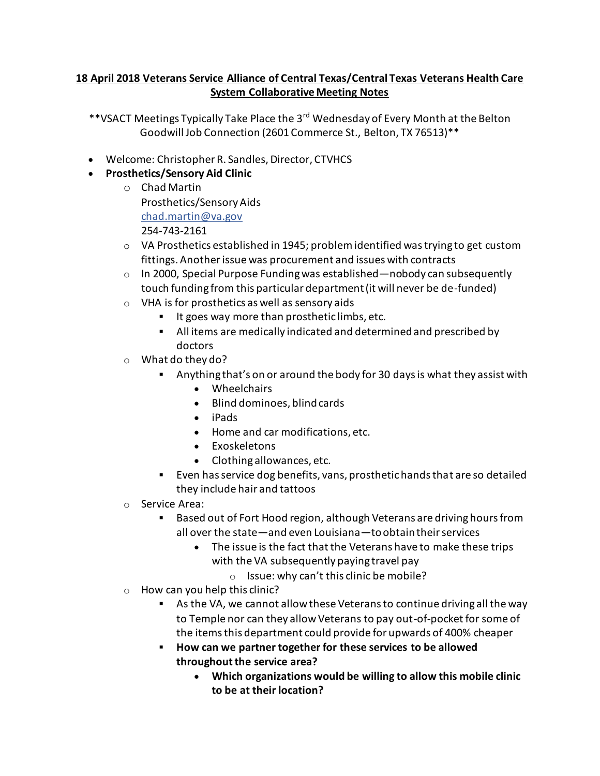## **18 April 2018 Veterans Service Alliance of Central Texas/Central Texas Veterans Health Care System Collaborative Meeting Notes**

- \*\*VSACT Meetings Typically Take Place the 3<sup>rd</sup> Wednesday of Every Month at the Belton Goodwill Job Connection (2601 Commerce St., Belton, TX 76513)\*\*
- Welcome: Christopher R. Sandles, Director, CTVHCS
- **Prosthetics/Sensory Aid Clinic**
	- o Chad Martin Prosthetics/Sensory Aids [chad.martin@va.gov](mailto:chad.martin@va.gov) 254-743-2161
	- $\circ$  VA Prosthetics established in 1945; problem identified was trying to get custom fittings. Another issue was procurement and issues with contracts
	- $\circ$  In 2000, Special Purpose Funding was established—nobody can subsequently touch funding from this particular department (it will never be de-funded)
	- o VHA is for prosthetics as well as sensory aids
		- It goes way more than prosthetic limbs, etc.
		- All items are medically indicated and determined and prescribed by doctors
	- o What do they do?
		- Anything that's on or around the body for 30 days is what they assist with
			- Wheelchairs
			- Blind dominoes, blind cards
			- iPads
			- Home and car modifications, etc.
			- Exoskeletons
			- Clothing allowances, etc.
		- Even has service dog benefits, vans, prosthetic hands that are so detailed they include hair and tattoos
	- o Service Area:
		- Based out of Fort Hood region, although Veterans are driving hours from all over the state—and even Louisiana—to obtain their services
			- The issue is the fact that the Veterans have to make these trips with the VA subsequently paying travel pay
				- o Issue: why can't this clinic be mobile?
	- $\circ$  How can you help this clinic?
		- As the VA, we cannot allow these Veterans to continue driving all the way to Temple nor can they allow Veterans to pay out-of-pocket for some of the items this department could provide for upwards of 400% cheaper
		- **How can we partner together for these services to be allowed throughout the service area?**
			- **Which organizations would be willing to allow this mobile clinic to be at their location?**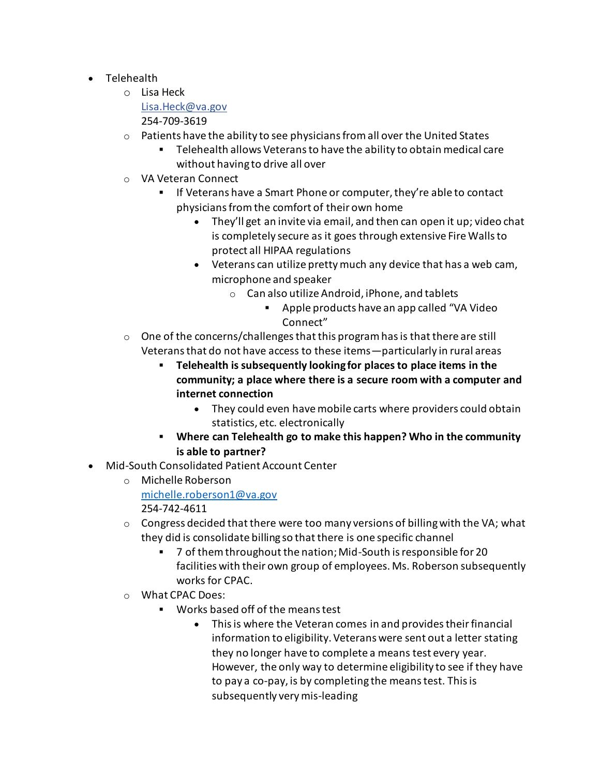- Telehealth
	- o Lisa Heck

[Lisa.Heck@va.gov](mailto:Lisa.Heck@va.gov)

254-709-3619

- $\circ$  Patients have the ability to see physicians from all over the United States
	- Telehealth allows Veterans to have the ability to obtain medical care without having to drive all over
- o VA Veteran Connect
	- If Veterans have a Smart Phone or computer, they're able to contact physicians from the comfort of their own home
		- They'll get an invite via email, and then can open it up; video chat is completely secure as it goes through extensive Fire Walls to protect all HIPAA regulations
		- Veterans can utilize pretty much any device that has a web cam, microphone and speaker
			- o Can also utilize Android, iPhone, and tablets
				- Apple products have an app called "VA Video Connect"
- $\circ$  One of the concerns/challenges that this program has is that there are still Veterans that do not have access to these items—particularly in rural areas
	- **Telehealth is subsequently looking for places to place items in the community; a place where there is a secure room with a computer and internet connection**
		- They could even have mobile carts where providers could obtain statistics, etc. electronically
	- **Where can Telehealth go to make this happen? Who in the community is able to partner?**
- Mid-South Consolidated Patient Account Center
	- o Michelle Roberson [michelle.roberson1@va.gov](mailto:michelle.roberson1@va.gov) 254-742-4611
	- $\circ$  Congress decided that there were too many versions of billing with the VA; what they did is consolidate billing so that there is one specific channel
		- 7 of them throughout the nation; Mid-South is responsible for 20 facilities with their own group of employees. Ms. Roberson subsequently works for CPAC.
	- o What CPAC Does:
		- Works based off of the means test
			- This is where the Veteran comes in and provides their financial information to eligibility. Veterans were sent out a letter stating they no longer have to complete a means test every year. However, the only way to determine eligibility to see if they have to pay a co-pay, is by completing the means test. This is subsequently very mis-leading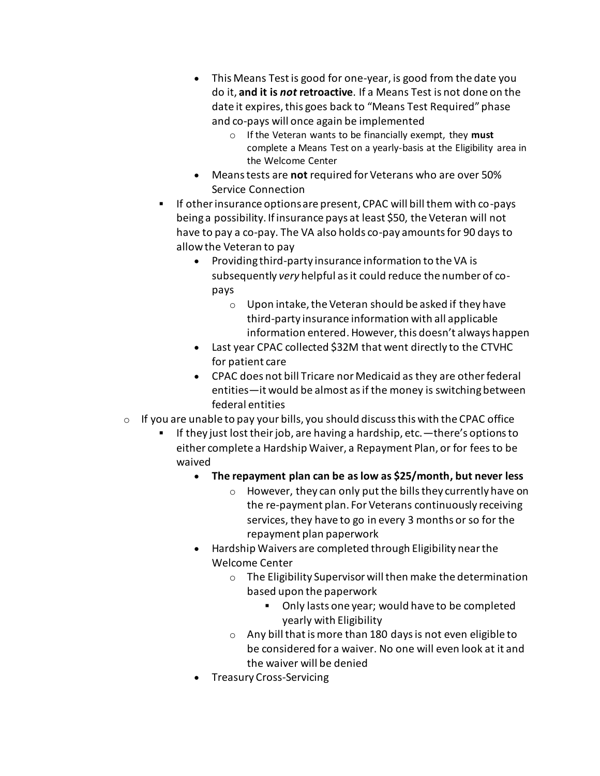- This Means Test is good for one-year, is good from the date you do it, **and it is** *not* **retroactive**. If a Means Test is not done on the date it expires, this goes back to "Means Test Required" phase and co-pays will once again be implemented
	- o If the Veteran wants to be financially exempt, they **must** complete a Means Test on a yearly-basis at the Eligibility area in the Welcome Center
- Means tests are **not** required for Veterans who are over 50% Service Connection
- If other insurance options are present, CPAC will bill them with co-pays being a possibility. If insurance pays at least \$50, the Veteran will not have to pay a co-pay. The VA also holds co-pay amounts for 90 days to allow the Veteran to pay
	- Providing third-party insurance information to the VA is subsequently *very* helpful as it could reduce the number of copays
		- o Upon intake, the Veteran should be asked if they have third-party insurance information with all applicable information entered. However, this doesn't always happen
	- Last year CPAC collected \$32M that went directly to the CTVHC for patient care
	- CPAC does not bill Tricare nor Medicaid as they are other federal entities—it would be almost as if the money is switching between federal entities
- $\circ$  If you are unable to pay your bills, you should discuss this with the CPAC office
	- If they just lost their job, are having a hardship, etc.—there's options to either complete a Hardship Waiver, a Repayment Plan, or for fees to be waived
		- **The repayment plan can be as low as \$25/month, but never less**
			- o However, they can only put the bills they currently have on the re-payment plan. For Veterans continuously receiving services, they have to go in every 3 months or so for the repayment plan paperwork
		- Hardship Waivers are completed through Eligibility near the Welcome Center
			- o The Eligibility Supervisor will then make the determination based upon the paperwork
				- Only lasts one year; would have to be completed yearly with Eligibility
			- $\circ$  Any bill that is more than 180 days is not even eligible to be considered for a waiver. No one will even look at it and the waiver will be denied
		- Treasury Cross-Servicing